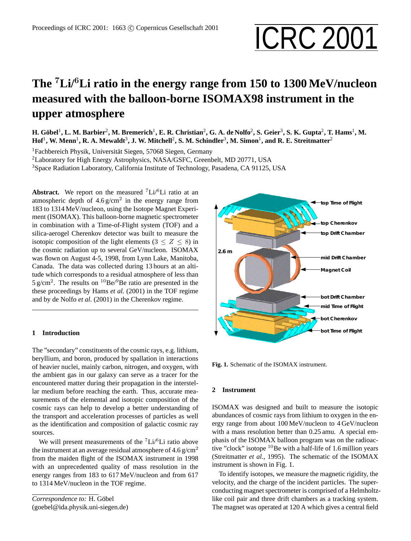# Proceedings of ICRC 2001: 1663 © Copernicus Gesellschaft 2001<br> **ICRC 2001**

## **The** <sup>7</sup>**Li/**<sup>6</sup>**Li ratio in the energy range from 150 to 1300 MeV/nucleon measured with the balloon-borne ISOMAX98 instrument in the upper atmosphere**

 $\bf H.$  Göbel<sup>1</sup>, L. M. Barbier<sup>2</sup>, M. Bremerich<sup>1</sup>, E. R. Christian<sup>2</sup>, G. A. de Nolfo<sup>2</sup>, S. Geier<sup>3</sup>, S. K. Gupta<sup>2</sup>, T. Hams<sup>1</sup>, M.  $\rm{Hof}^1, \, W. \, Menn^1, \, R. \, A. \, Mewaldt^3, \, J. \, W. \, Mitchell^2, \, S. \, M. \, Schindler^3, \, M. \, Simon^1, \, and \, R. \, E. \, Streitmatter^2$ 

<sup>1</sup>Fachbereich Physik, Universität Siegen, 57068 Siegen, Germany

<sup>2</sup>Laboratory for High Energy Astrophysics, NASA/GSFC, Greenbelt, MD 20771, USA

<sup>3</sup>Space Radiation Laboratory, California Institute of Technology, Pasadena, CA 91125, USA

**Abstract.** We report on the measured  ${}^{7}$ Li ${}^{6}$ Li ratio at an atmospheric depth of  $4.6 \text{ g/cm}^2$  in the energy range from 183 to 1314 MeV/nucleon, using the Isotope Magnet Experiment (ISOMAX). This balloon-borne magnetic spectrometer in combination with a Time-of-Flight system (TOF) and a silica-aerogel Cherenkov detector was built to measure the isotopic composition of the light elements ( $3 \le Z \le 8$ ) in the cosmic radiation up to several GeV/nucleon. ISOMAX was flown on August 4-5, 1998, from Lynn Lake, Manitoba, Canada. The data was collected during 13 hours at an altitude which corresponds to a residual atmosphere of less than 5 g/cm<sup>2</sup>. The results on <sup>10</sup>Be/<sup>9</sup>Be ratio are presented in the these proceedings by Hams *et al.* (2001) in the TOF regime and by de Nolfo *et al.* (2001) in the Cherenkov regime.

#### **1 Introduction**

The "secondary" constituents of the cosmic rays, e.g. lithium, beryllium, and boron, produced by spallation in interactions of heavier nuclei, mainly carbon, nitrogen, and oxygen, with the ambient gas in our galaxy can serve as a tracer for the encountered matter during their propagation in the interstellar medium before reaching the earth. Thus, accurate measurements of the elemental and isotopic composition of the cosmic rays can help to develop a better understanding of the transport and acceleration processes of particles as well as the identification and composition of galactic cosmic ray sources.

We will present measurements of the  ${}^{7}Li/{}^{6}Li$  ratio above the instrument at an average residual atmosphere of  $4.6 \text{ g/cm}^2$ from the maiden flight of the ISOMAX instrument in 1998 with an unprecedented quality of mass resolution in the energy ranges from 183 to 617 MeV/nucleon and from 617 to 1314 MeV/nucleon in the TOF regime.

Correspondence to: H. Göbel (goebel@ida.physik.uni-siegen.de)



**Fig. 1.** Schematic of the ISOMAX instrument.

### **2 Instrument**

ISOMAX was designed and built to measure the isotopic abundances of cosmic rays from lithium to oxygen in the energy range from about 100 MeV/nucleon to 4 GeV/nucleon with a mass resolution better than 0.25 amu. A special emphasis of the ISOMAX balloon program was on the radioactive "clock" isotope  $10Be$  with a half-life of 1.6 million years (Streitmatter *et al.*, 1995). The schematic of the ISOMAX instrument is shown in Fig. 1.

To identify isotopes, we measure the magnetic rigidity, the velocity, and the charge of the incident particles. The superconducting magnet spectrometer is comprised of a Helmholtzlike coil pair and three drift chambers as a tracking system. The magnet was operated at 120 A which gives a central field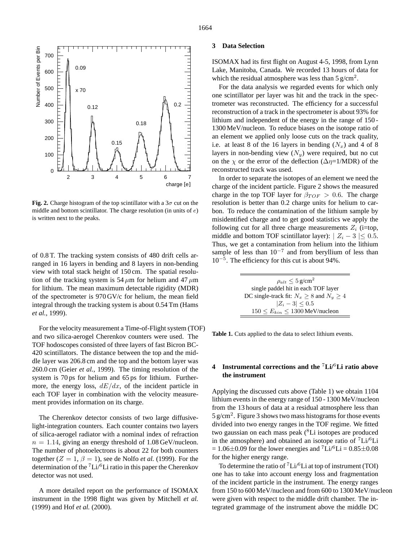

**Fig. 2.** Charge histogram of the top scintillator with a  $3\sigma$  cut on the middle and bottom scintillator. The charge resolution (in units of e) is written next to the peaks.

of 0.8 T. The tracking system consists of 480 drift cells arranged in 16 layers in bending and 8 layers in non-bending view with total stack height of 150 cm. The spatial resolution of the tracking system is 54  $\mu$ m for helium and 47  $\mu$ m for lithium. The mean maximum detectable rigidity (MDR) of the spectrometer is 970 GV/c for helium, the mean field integral through the tracking system is about 0.54 Tm (Hams *et al.*, 1999).

For the velocity measurement a Time-of-Flight system (TOF) and two silica-aerogel Cherenkov counters were used. The TOF hodoscopes consisted of three layers of fast Bicron BC-420 scintillators. The distance between the top and the middle layer was 206.8 cm and the top and the bottom layer was 260.0 cm (Geier *et al.*, 1999). The timing resolution of the system is 70 ps for helium and 65 ps for lithium. Furthermore, the energy loss,  $dE/dx$ , of the incident particle in each TOF layer in combination with the velocity measurement provides information on its charge.

The Cherenkov detector consists of two large diffusivelight-integration counters. Each counter contains two layers of silica-aerogel radiator with a nominal index of refraction  $n = 1.14$ , giving an energy threshold of 1.08 GeV/nucleon. The number of photoelectrons is about 22 for both counters together  $(Z = 1, \beta = 1)$ , see de Nolfo *et al.* (1999). For the determination of the  ${}^{7}Li/{}^{6}Li$  ratio in this paper the Cherenkov detector was not used.

A more detailed report on the performance of ISOMAX instrument in the 1998 flight was given by Mitchell *et al.* (1999) and Hof *et al.* (2000).

#### **3 Data Selection**

ISOMAX had its first flight on August 4-5, 1998, from Lynn Lake, Manitoba, Canada. We recorded 13 hours of data for which the residual atmosphere was less than  $5 \text{ g/cm}^2$ .

For the data analysis we regarded events for which only one scintillator per layer was hit and the track in the spectrometer was reconstructed. The efficiency for a successful reconstruction of a track in the spectrometer is about 93% for lithium and independent of the energy in the range of 150 - 1300 MeV/nucleon. To reduce biases on the isotope ratio of an element we applied only loose cuts on the track quality, i.e. at least 8 of the 16 layers in bending  $(N_x)$  and 4 of 8 layers in non-bending view  $(N_y)$  were required, but no cut on the  $\chi$  or the error of the deflection ( $\Delta \eta$ =1/MDR) of the reconstructed track was used.

In order to separate the isotopes of an element we need the charge of the incident particle. Figure 2 shows the measured charge in the top TOF layer for  $\beta_{TOF} > 0.6$ . The charge resolution is better than 0.2 charge units for helium to carbon. To reduce the contamination of the lithium sample by misidentified charge and to get good statistics we apply the following cut for all three charge measurements  $Z_i$  (i=top, middle and bottom TOF scintillator layer):  $| Z_i - 3 | \leq 0.5$ . Thus, we get a contamination from helium into the lithium sample of less than  $10^{-7}$  and from beryllium of less than 10<sup>−</sup><sup>5</sup> . The efficiency for this cut is about 94%.

| $\rho_{alt} \leq 5 \text{ g/cm}^2$                 |
|----------------------------------------------------|
| single paddel hit in each TOF layer                |
| DC single-track fit: $N_x \geq 8$ and $N_y \geq 4$ |
| $ Z_i - 3  \leq 0.5$                               |
| $150 \le E_{kin} \le 1300$ MeV/nucleon             |

**Table 1.** Cuts applied to the data to select lithium events.

#### **4 Instrumental corrections and the** <sup>7</sup>**Li/**<sup>6</sup>**Li ratio above the instrument**

Applying the discussed cuts above (Table 1) we obtain 1104 lithium events in the energy range of 150 - 1300 MeV/nucleon from the 13 hours of data at a residual atmosphere less than  $5 \text{ g/cm}^2$ . Figure 3 shows two mass histograms for those events divided into two energy ranges in the TOF regime. We fitted two gaussian on each mass peak (<sup>8</sup>Li isotopes are produced in the atmosphere) and obtained an isotope ratio of  $^7$ Li/ $^6$ Li  $= 1.06\pm0.09$  for the lower energies and  $\text{Li}^{6}\text{Li} = 0.85\pm0.08$ for the higher energy range.

To determine the ratio of  ${}^{7}Li/{}^{6}Li$  at top of instrument (TOI) one has to take into account energy loss and fragmentation of the incident particle in the instrument. The energy ranges from 150 to 600 MeV/nucleon and from 600 to 1300 MeV/nucleon were given with respect to the middle drift chamber. The integrated grammage of the instrument above the middle DC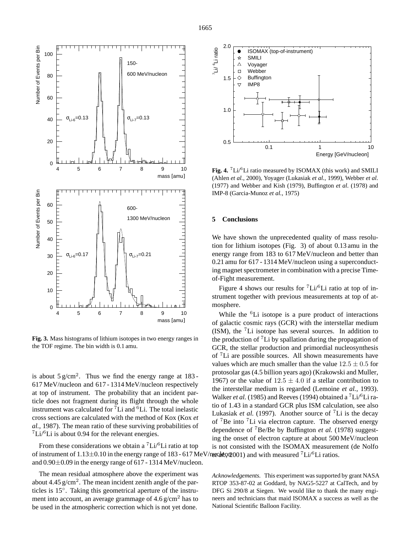

**Fig. 3.** Mass histograms of lithium isotopes in two energy ranges in the TOF regime. The bin width is 0.1 amu.

is about  $5 \text{ g/cm}^2$ . Thus we find the energy range at 183-617 MeV/nucleon and 617 - 1314 MeV/nucleon respectively at top of instrument. The probability that an incident particle does not fragment during its flight through the whole instrument was calculated for  ${}^{7}Li$  and  ${}^{6}Li$ . The total inelastic cross sections are calculated with the method of Kox (Kox *et al.*, 1987). The mean ratio of these surviving probabilities of  ${}^{7}Li/{}^{6}Li$  is about 0.94 for the relevant energies.

From these considerations we obtain a  ${}^{7}Li/{}^{6}Li$  ratio at top of instrument of 1.13±0.10 in the energy range of 183 - 617 MeV/necleton 2001) and with measured <sup>7</sup>Li/<sup>6</sup>Li ratios. and 0.90±0.09 in the energy range of 617 - 1314 MeV/nucleon.

The mean residual atmosphere above the experiment was about 4.45  $g/cm<sup>2</sup>$ . The mean incident zenith angle of the particles is 15◦ . Taking this geometrical aperture of the instrument into account, an average grammage of  $4.6 \text{ g/cm}^2$  has to be used in the atmospheric correction which is not yet done.



**Fig. 4.** <sup>7</sup>Li/<sup>6</sup>Li ratio measured by ISOMAX (this work) and SMILI (Ahlen *et al.*, 2000), Yoyager (Lukasiak *et al.*, 1999), Webber *et al.* (1977) and Webber and Kish (1979), Buffington *et al.* (1978) and IMP-8 (Garcia-Munoz *et al.*, 1975)

#### **5 Conclusions**

We have shown the unprecedented quality of mass resolution for lithium isotopes (Fig. 3) of about 0.13 amu in the energy range from 183 to 617 MeV/nucleon and better than 0.21 amu for 617 - 1314 MeV/nucleon using a superconducting magnet spectrometer in combination with a precise Timeof-Fight measurement.

Figure 4 shows our results for  $\mathrm{Li}/\mathrm{^{6}Li}$  ratio at top of instrument together with previous measurements at top of atmosphere.

While the  ${}^{6}$ Li isotope is a pure product of interactions of galactic cosmic rays (GCR) with the interstellar medium (ISM), the <sup>7</sup>Li isotope has several sources. In addition to the production of  ${}^{7}$ Li by spallation during the propagation of GCR, the stellar production and primordial nucleosynthesis of <sup>7</sup>Li are possible sources. All shown measurements have values which are much smaller than the value  $12.5 \pm 0.5$  for protosolar gas (4.5 billion years ago) (Krakowski and Muller, 1967) or the value of  $12.5 \pm 4.0$  if a stellar contribution to the interstellar medium is regarded (Lemoine *et al.*, 1993). Walker *et al.* (1985) and Reeves (1994) obtained a <sup>7</sup>Li/<sup>6</sup>Li ratio of 1.43 in a standard GCR plus ISM calculation, see also Lukasiak *et al.* (1997). Another source of <sup>7</sup>Li is the decay of <sup>7</sup>Be into <sup>7</sup>Li via electron capture. The observed energy dependence of <sup>7</sup>Be/Be by Buffington *et al.* (1978) suggesting the onset of electron capture at about 500 MeV/nucleon is not consisted with the ISOMAX measurement (de Nolfo

*Acknowledgements.* This experiment was supported by grant NASA RTOP 353-87-02 at Goddard, by NAG5-5227 at CalTech, and by DFG Si 290/8 at Siegen. We would like to thank the many engineers and technicians that maid ISOMAX a success as well as the National Scientific Balloon Facility.